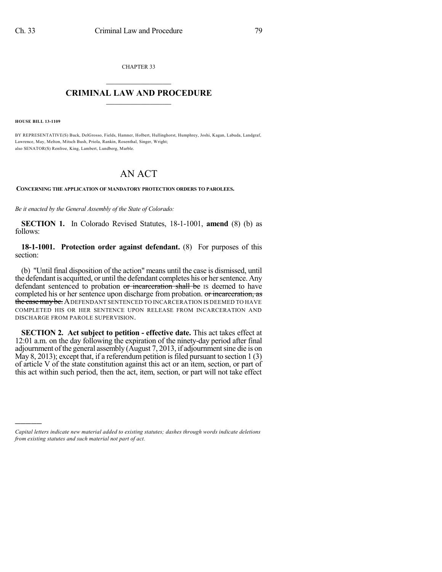CHAPTER 33  $\mathcal{L}_\text{max}$  . The set of the set of the set of the set of the set of the set of the set of the set of the set of the set of the set of the set of the set of the set of the set of the set of the set of the set of the set

## **CRIMINAL LAW AND PROCEDURE**  $\_$   $\_$   $\_$   $\_$   $\_$   $\_$   $\_$   $\_$   $\_$   $\_$

**HOUSE BILL 13-1109**

)))))

BY REPRESENTATIVE(S) Buck, DelGrosso, Fields, Hamner, Holbert, Hullinghorst, Humphrey, Joshi, Kagan, Labuda, Landgraf, Lawrence, May, Melton, Mitsch Bush, Priola, Rankin, Rosenthal, Singer, Wright; also SENATOR(S) Renfroe, King, Lambert, Lundberg, Marble.

## AN ACT

**CONCERNING THE APPLICATION OF MANDATORY PROTECTION ORDERS TO PAROLEES.**

*Be it enacted by the General Assembly of the State of Colorado:*

**SECTION 1.** In Colorado Revised Statutes, 18-1-1001, **amend** (8) (b) as follows:

**18-1-1001. Protection order against defendant.** (8) For purposes of this section:

(b) "Until final disposition of the action" means until the case is dismissed, until the defendant is acquitted, or until the defendant completes his or her sentence. Any defendant sentenced to probation or incarceration shall be IS deemed to have completed his or her sentence upon discharge from probation. or incarceration, as the case may be. ADEFENDANT SENTENCED TO INCARCERATION IS DEEMED TO HAVE COMPLETED HIS OR HER SENTENCE UPON RELEASE FROM INCARCERATION AND DISCHARGE FROM PAROLE SUPERVISION.

**SECTION 2. Act subject to petition - effective date.** This act takes effect at 12:01 a.m. on the day following the expiration of the ninety-day period after final adjournment of the general assembly (August 7, 2013, if adjournment sine die is on May 8, 2013); except that, if a referendum petition is filed pursuant to section  $1(3)$ of article V of the state constitution against this act or an item, section, or part of this act within such period, then the act, item, section, or part will not take effect

*Capital letters indicate new material added to existing statutes; dashes through words indicate deletions from existing statutes and such material not part of act.*